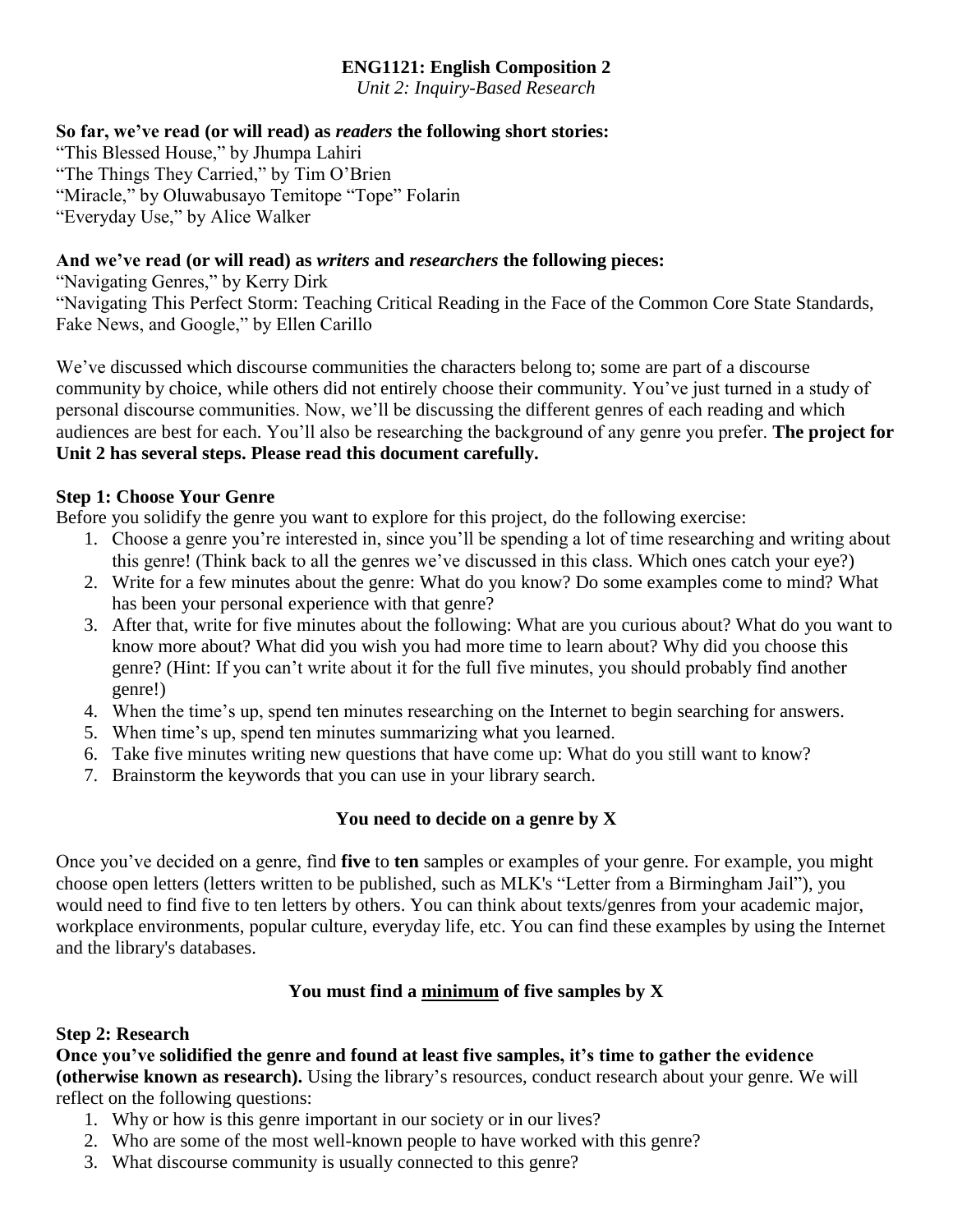## **ENG1121: English Composition 2**

*Unit 2: Inquiry-Based Research*

## **So far, we've read (or will read) as** *readers* **the following short stories:**

"This Blessed House," by Jhumpa Lahiri "The Things They Carried," by Tim O'Brien "Miracle," by Oluwabusayo Temitope "Tope" Folarin "Everyday Use," by Alice Walker

# **And we've read (or will read) as** *writers* **and** *researchers* **the following pieces:**

"Navigating Genres," by Kerry Dirk "Navigating This Perfect Storm: Teaching Critical Reading in the Face of the Common Core State Standards, Fake News, and Google," by Ellen Carillo

We've discussed which discourse communities the characters belong to; some are part of a discourse community by choice, while others did not entirely choose their community. You've just turned in a study of personal discourse communities. Now, we'll be discussing the different genres of each reading and which audiences are best for each. You'll also be researching the background of any genre you prefer. **The project for Unit 2 has several steps. Please read this document carefully.**

# **Step 1: Choose Your Genre**

Before you solidify the genre you want to explore for this project, do the following exercise:

- 1. Choose a genre you're interested in, since you'll be spending a lot of time researching and writing about this genre! (Think back to all the genres we've discussed in this class. Which ones catch your eye?)
- 2. Write for a few minutes about the genre: What do you know? Do some examples come to mind? What has been your personal experience with that genre?
- 3. After that, write for five minutes about the following: What are you curious about? What do you want to know more about? What did you wish you had more time to learn about? Why did you choose this genre? (Hint: If you can't write about it for the full five minutes, you should probably find another genre!)
- 4. When the time's up, spend ten minutes researching on the Internet to begin searching for answers.
- 5. When time's up, spend ten minutes summarizing what you learned.
- 6. Take five minutes writing new questions that have come up: What do you still want to know?
- 7. Brainstorm the keywords that you can use in your library search.

# **You need to decide on a genre by X**

Once you've decided on a genre, find **five** to **ten** samples or examples of your genre. For example, you might choose open letters (letters written to be published, such as MLK's "Letter from a Birmingham Jail"), you would need to find five to ten letters by others. You can think about texts/genres from your academic major, workplace environments, popular culture, everyday life, etc. You can find these examples by using the Internet and the library's databases.

# **You must find a minimum of five samples by X**

### **Step 2: Research**

**Once you've solidified the genre and found at least five samples, it's time to gather the evidence (otherwise known as research).** Using the library's resources, conduct research about your genre. We will reflect on the following questions:

- 1. Why or how is this genre important in our society or in our lives?
- 2. Who are some of the most well-known people to have worked with this genre?
- 3. What discourse community is usually connected to this genre?